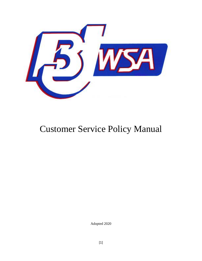

# Customer Service Policy Manual

Adopted 2020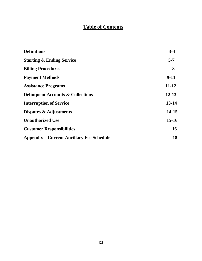# **Table of Contents**

| <b>Definitions</b>                               | $3-4$     |
|--------------------------------------------------|-----------|
| <b>Starting &amp; Ending Service</b>             | $5 - 7$   |
| <b>Billing Procedures</b>                        | 8         |
| <b>Payment Methods</b>                           | $9-11$    |
| <b>Assistance Programs</b>                       | $11 - 12$ |
| <b>Delinquent Accounts &amp; Collections</b>     | $12 - 13$ |
| <b>Interruption of Service</b>                   | $13 - 14$ |
| Disputes & Adjustments                           | 14-15     |
| <b>Unauthorized Use</b>                          | $15 - 16$ |
| <b>Customer Responsibilities</b>                 | 16        |
| <b>Appendix – Current Ancillary Fee Schedule</b> | 18        |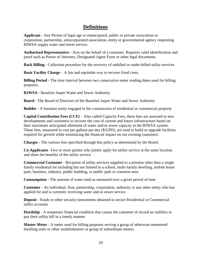# **Definitions**

**Applicant** - Any Person of legal age or emancipated, public or private association or corporation, partnership, unincorporated association, entity or governmental agency requesting BJWSA supply water and sewer service.

**Authorized Representative** - Acts on the behalf of a customer. Requires valid identification and proof such as Power of Attorney, Designated Agent Form or other legal documents.

**Back Billing** - Collection procedure for the recovery of unbilled or under-billed utility services

**Basic Facility Charge** – A fair and equitable way to recover fixed costs.

**Billing Period -** The time interval between two consecutive meter reading dates used for billing purposes.

**BJWSA** - Beaufort Jasper Water and Sewer Authority

**Board** - The Board of Directors of the Beaufort Jasper Water and Sewer Authority

**Builder** - A business entity engaged in the construction of residential or commercial property

**Capital Contribution Fees (CCF)** – Also called Capacity Fees, these fees are assessed to new developments and customers to recover the cost of current and future infrastructure based on their maximum anticipated allotment of water and/or sewer capacity in the BJWSA system. These fees, measured in cost per gallons per day (\$/GPD), are used to build or upgrade facilities required for growth while minimizing the financial impact on our existing customers.

**Charges -** The various fees specified through this policy as determined by the Board.

**Co-Applicants** -Two or more parties who jointly apply for utility service at the same location and share the benefits of the utility service

**Commercial Customer** - Recipient of utility services supplied to a premise other than a single family residential lot including but not limited to a school, multi-family dwelling, mobile home park, business, industry, public building, or public park or common area.

**Consumption** - The amount of water used as measured over a given period of time

**Customer** - An individual, firm, partnership, corporation, authority or any other entity who has applied for and is currently receiving water and or sewer service.

**Deposit** - Funds or other security instruments obtained to secure Residential or Commercial utility accounts

**Hardship** - A temporary financial condition that causes the customer of record an inability to pay their utility bill in a timely manner

**Master Meter** - A meter used for billing purposes serving a group of otherwise unmetered dwelling units or other establishments or group of subordinate meters.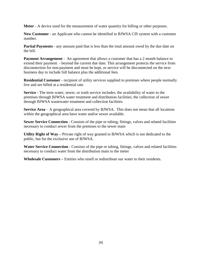**Meter** - A device used for the measurement of water quantity for billing or other purposes.

**New Customer** - an Applicant who cannot be identified in BJWSA CIS system with a customer number.

**Partial Payments** - any amount paid that is less than the total amount owed by the due date on the bill.

**Payment Arrangement** - An agreement that allows a customer that has a 2 month balance to extend their payment - beyond the current due date. This arrangement protects the service from disconnection for non-payment and must be kept, or service will be disconnected on the next business day to include full balance plus the additional fees.

**Residential Customer** - recipient of utility services supplied to premises where people normally live and are billed at a residential rate.

**Service** - The term water, sewer, or trash service includes; the availability of water to the premises through BJWSA water treatment and distribution facilities; the collection of sewer through BJWSA wastewater treatment and collection facilities

**Service Area** – A geographical area covered by BJWSA. This does not mean that all locations within the geographical area have water and/or sewer available.

**Sewer Service Connection** - Consists of the pipe or tubing, fittings, valves and related facilities necessary to conduct sewer from the premises to the sewer main

**Utility Right of Way –** Private right of way granted to BJWSA which is not dedicated to the public, but for the exclusive use of BJWSA.

**Water Service Connection** - Consists of the pipe or tubing, fittings, valves and related facilities necessary to conduct water from the distribution main to the meter

**Wholesale Customers –** Entities who resell or redistribute our water to their residents.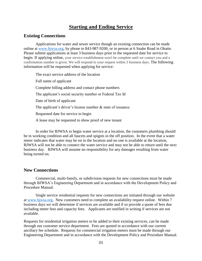# **Starting and Ending Service**

#### **Existing Connections**

Applications for water and sewer service though an existing connection can be made online at [www.bjwsa.org,](http://www.bjwsa.org/) by phone to 843-987-9200, or in person at 6 Snake Road in Okatie. Please submit applications at least 3 business days prior to the requested date for service to begin. If applying online, your service establishment won't be complete until we contact you and a confirmation number is given. We will respond to your request within 3 business days. The following information will be requested when applying for service:

The exact service address of the location Full name of applicant Complete billing address and contact phone numbers The applicant's social security number or Federal Tax Id Date of birth of applicant The applicant's driver's license number & state of issuance. Requested date for service to begin A lease may be requested to show proof of new tenant

In order for BJWSA to begin water service at a location, the customers plumbing should be in working condition and all faucets and spigots in the off position. In the event that a water meter indicates that water may be on in the location and no one is available at the location, BJWSA will not be able to connect the water service and may not be able to return until the next business day. BJWSA will assume no responsibility for any damages resulting from water being turned on.

#### **New Connections**

Commercial, multi-family, or subdivision requests for new connections must be made through BJWSA's Engineering Department and in accordance with the Development Policy and Procedure Manual.

Single service residential requests for new connections are initiated through our website at [www.bjwsa.org.](http://www.bjwsa.org/) New customers need to complete an availability request online. Within 7 business days we will determine if services are available and if so provide a quote of fees due including meter fees and capacity fees. Applicants are notified in writing if services are not available.

Requests for residential irrigation meters to be added to their existing services, can be made through our customer service department. Fees are quoted in accordance with our current ancillary fee schedule. Requests for commercial irrigation meters must be made through our Engineering Department and in accordance with the Development Policy and Procedure Manual.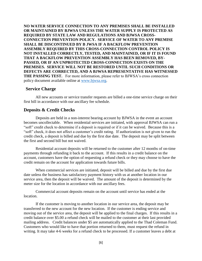**NO WATER SERVICE CONNECTION TO ANY PREMISES SHALL BE INSTALLED OR MAINTAINED BY BJWSA UNLESS THE WATER SUPPLY IS PROTECTED AS REQUIRED BY STATE LAW AND REGULATIONS AND BJWSA CROSS-CONNECTION PREVENTION POLICY. SERVICE OF WATER TO ANY PREMISE SHALL BE DISCONTINUED BY B JWSA IF A BACKFLOW PREVENTION ASSEMBLY REQUIRED BY THIS CROSS-CONNECTION CONTROL POLICY IS NOT INSTALLED CORRECTLY, TESTED, AND MAINTAINED, OR IF IT IS FOUND THAT A BACKFLOW PREVENTION ASSEMBLY HAS BEEN REMOVED, BY-PASSED, OR IF AN UNPROTECTED CROSS-CONNECTION EXISTS ON THE PREMISES. SERVICE WILL NOT BE RESTORED UNTIL SUCH CONDITIONS OR DEFECTS ARE CORRECTED, AND A BJWSA REPRESENTATIVE HAS WITNESSED THE PASSING TEST.** For more information, please refer to BJWSA's cross connection policy document available online at [www.bjwsa.org.](http://www.bjwsa.org/)

#### **Service Charge**

All new accounts or service transfer requests are billed a one-time service charge on their first bill in accordance with our ancillary fee schedule.

#### **Deposits & Credit Checks**

Deposits are held in a non-interest bearing account by BJWSA in the event an account becomes uncollectable. When residential services are initiated, with approval BJWSA can run a "soft" credit check to determine if a deposit is required or if it can be waived. Because this is a "soft" check, it does not affect a customer's credit rating. If authorization is not given to run the credit check, a deposit is billed and due by the first due date. The deposit may be split between the first and second bill but not waived.

Residential account deposits will be returned to the customer after 12 months of on-time payments through refunding it back to the account. If this results in a credit balance on the account, customers have the option of requesting a refund check or they may choose to have the credit remain on the account for application towards future bills.

When commercial services are initiated, deposit will be billed and due by the first due date unless the business has satisfactory payment history with us at another location in our service area, then the deposit will be waived. The amount of the deposit is determined by the meter size for the location in accordance with our ancillary fees.

Commercial account deposits remain on the account until service has ended at the location.

If the customer is moving to another location in our service area, the deposit may be transferred to the new account for the new location. If the customer is ending service and moving out of the service area, the deposit will be applied to the final charges. If this results in a credit balance over \$5.00 a refund check will be mailed to the customer at their last provided mailing address. Credit balances under \$5 are automatically applied to the Thad Coleman Fund. Customers who would like to have that portion returned to them, must request the refund in writing. It may take 4-6 weeks for a refund check to be processed. If a customer leaves a debt at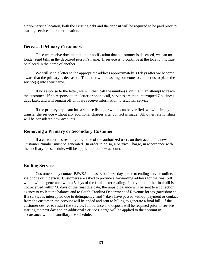a prior service location, both the existing debt and the deposit will be required to be paid prior to starting service at another location.

#### **Deceased Primary Customers**

Once we receive documentation or notification that a customer is deceased, we can no longer send bills in the deceased person's name. If service is to continue at the location, it must be placed in the name of another.

We will send a letter to the appropriate address approximately 30 days after we become aware that the primary is deceased. The letter will be asking someone to contact us to place the service(s) into their name.

If no response to the letter, we will then call the number(s) on file in an attempt to reach the customer. If no response to the letter or phone call, services are then interrupted 7 business days later, and will remain off until we receive information to establish service.

If the primary applicant has a spouse listed, or which can be verified, we will simply transfer the service without any additional charges after contact is made. All other relationships will be considered new accounts.

#### **Removing a Primary or Secondary Customer**

If a customer desires to remove one of the authorized users on their account, a new Customer Number must be generated. In order to do so, a Service Charge, in accordance with the ancillary fee schedule, will be applied to the new account.

#### **Ending Service**

Customers may contact BJWSA at least 3 business days prior to ending service online, via phone or in person. Customers are asked to provide a forwarding address for the final bill which will be generated within 5 days of the final meter reading. If payment of the final bill is not received within 90 days of the final due date, the unpaid balance will be sent to a collection agency to collect the balance and to South Carolina Department of Revenue for tax garnishment. If a service is interrupted due to delinquency, and 7 days have passed without payment or contact from the customer, the account will be ended and sent to billing to generate a final bill. If the customer desires to restart the service, full balance and deposit will be required prior to service starting the next day and an additional Service Charge will be applied to the account in accordance with the ancillary fee schedule.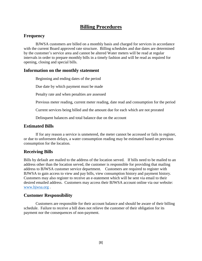# **Billing Procedures**

# **Frequency**

BJWSA customers are billed on a monthly basis and charged for services in accordance with the current Board approved rate structure. Billing schedules and due dates are determined by the customer's service area and cannot be altered Water meters will be read at regular intervals in order to prepare monthly bills in a timely fashion and will be read as required for opening, closing and special bills.

#### **Information on the monthly statement**

Beginning and ending dates of the period

Due date by which payment must be made

Penalty rate and when penalties are assessed

Previous meter reading, current meter reading, date read and consumption for the period

Current services being billed and the amount due for each which are not prorated

Delinquent balances and total balance due on the account

## **Estimated Bills**

If for any reason a service is unmetered, the meter cannot be accessed or fails to register, or due to unforeseen delays, a water consumption reading may be estimated based on previous consumption for the location.

# **Receiving Bills**

Bills by default are mailed to the address of the location served. If bills need to be mailed to an address other than the location served, the customer is responsible for providing that mailing address to BJWSA customer service department. Customers are required to register with BJWSA to gain access to view and pay bills, view consumption history and payment history. Customers may also register to receive an e-statement which will be sent via email to their desired emailed address. Customers may access their BJWSA account online via our website: [www.bjwsa.org](http://www.bjwsa.org/) .

# **Customer Responsibility**

Customers are responsible for their account balance and should be aware of their billing schedule. Failure to receive a bill does not relieve the customer of their obligation for its payment nor the consequences of non-payment.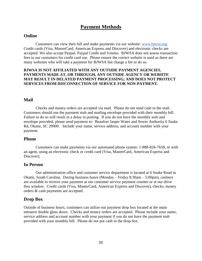# **Payment Methods**

#### **Online**

Customers can view their bill and make payments via our website: [www.bjwsa.org.](http://www.bjwsa.org/) Credit cards (Visa, MasterCard, American Express and Discover) and electronic checks are accepted. We also accept Paypal, Paypal Credit and Venmo. BJWSA does not assess transaction fees to our customers for credit card use. Please ensure the correct website is used as there are many websites who will take a payment for BJWSA but charge a fee to do so.

#### **BJWSA IS NOT AFFILIATED WITH ANY OUTSIDE PAYMENT AGENCIES. PAYMENTS MADE AT, OR THROUGH, ANY OUTSIDE AGENCY OR WEBSITE MAY RESULT IN DELAYED PAYMENT PROCESSING; AND DOES NOT PROTECT SERVICES FROM DISCONNECTION OF SERVICE FOR NON-PAYMENT.**

#### **Mail**

Checks and money orders are accepted via mail. Please do not send cash in the mail. Customers should use the payment stub and mailing envelope provided with their monthly bill. Failure to do so will result in a delay in posting. If you do not have the monthly stub and envelope provided, please send payment to: Beaufort Jasper Water and Sewer Authority 6 Snake Rd, Okatie, SC 29909. Include your name, service address, and account number with your payment.

#### **Phone**

Customers can make payments via our automated phone system: 1-888-826-7658, or with an agent, using an electronic check or credit card (Visa, MasterCard, American Express and Discover).

#### **In Person**

Our administration office and customer service department is located at 6 Snake Road in Okatie, South Carolina. During business hours (Monday – Friday 8:30am – 5:00pm), cashiers are available to receive your payment at our customer service payment counter or at our drive thru window. Credit cards (Visa, MasterCard, American Express and Discover), checks, money orders & cash payments are accepted.

#### **Drop Box**

Outside of business hours, customers can utilize our payment drop box located at the main entrance double glass doors. Checks and money orders are accepted. Please include your name, service address and account number with your payment if you do not have the payment stub provided with your monthly bill. Please do not put cash in the drop box.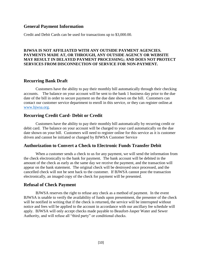#### **General Payment Information**

Credit and Debit Cards can be used for transactions up to \$3,000.00.

#### **BJWSA IS NOT AFFILIATED WITH ANY OUTSIDE PAYMENT AGENCIES. PAYMENTS MADE AT, OR THROUGH, ANY OUTSIDE AGENCY OR WEBSITE MAY RESULT IN DELAYED PAYMENT PROCESSING; AND DOES NOT PROTECT SERVICES FROM DISCONNECTION OF SERVICE FOR NON-PAYMENT.**

#### **Recurring Bank Draft**

Customers have the ability to pay their monthly bill automatically through their checking accounts. The balance on your account will be sent to the bank 1 business day prior to the due date of the bill in order to secure payment on the due date shown on the bill. Customers can contact our customer service department to enroll in this service, or they can register online.at [www.bjwsa.org.](http://www.bjwsa.org/)

## **Recurring Credit Card- Debit or Credit**

Customers have the ability to pay their monthly bill automatically by recurring credit or debit card. The balance on your account will be charged to your card automatically on the due date shown on your bill. Customers will need to register online for this service as it is customer driven and cannot be initiated or changed by BJWSA Customer Service

#### **Authorization to Convert a Check to Electronic Funds Transfer Debit**

When a customer sends a check to us for any payment, we will send the information from the check electronically to the bank for payment. The bank account will be debited in the amount of the check as early as the same day we receive the payment, and the transaction will appear on the bank statement. The original check will be destroyed once processed, and the cancelled check will not be sent back to the customer. If BJWSA cannot post the transaction electronically, an imaged copy of the check for payment will be presented.

#### **Refusal of Check Payment**

BJWSA reserves the right to refuse any check as a method of payment. In the event BJWSA is unable to verify the availability of funds upon presentment, the presenter of the check will be notified in writing that if the check is returned**,** the service will be interrupted without notice and fees will be applied to the account in accordance with our ancillary fee schedule will apply. BJWSA will only accept checks made payable to Beaufort-Jasper Water and Sewer Authority, and will refuse all "third party" or conditional checks.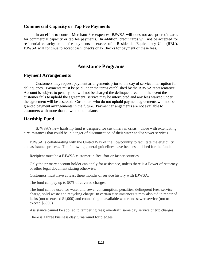#### **Commercial Capacity or Tap Fee Payments**

In an effort to control Merchant Fee expenses, BJWSA will does not accept credit cards for commercial capacity or tap fee payments. In addition, credit cards will not be accepted for residential capacity or tap fee payments in excess of 1 Residential Equivalency Unit (REU). BJWSA will continue to accept cash, checks or E-Checks for payment of these fees.

# **Assistance Programs**

#### **Payment Arrangements**

Customers may request payment arrangements prior to the day of service interruption for delinquency. Payments must be paid under the terms established by the BJWSA representative. Account is subject to penalty, but will not be charged the delinquent fee. In the event the customer fails to uphold the agreement, service may be interrupted and any fees waived under the agreement will be assessed. Customers who do not uphold payment agreements will not be granted payment arrangements in the future. Payment arrangements are not available to customers with more than a two month balance.

#### **Hardship Fund**

BJWSA's new hardship fund is designed for customers in crisis – those with extenuating circumstances that could be in danger of disconnection of their water and/or sewer services.

BJWSA is collaborating with the United Way of the Lowcountry to facilitate the eligibility and assistance process. The following general guidelines have been established for the fund:

Recipient must be a BJWSA customer in Beaufort or Jasper counties.

Only the primary account holder can apply for assistance, unless there is a Power of Attorney or other legal document stating otherwise.

Customers must have at least three months of service history with BJWSA.

The fund can pay up to 90% of covered charges.

The fund can be used for water and sewer consumption, penalties, delinquent fees, service charge, solid waste and recycling charge. In certain circumstances it may also aid in repair of leaks (not to exceed \$1,000) and connecting to available water and sewer service (not to exceed \$5000).

Assistance cannot be applied to tampering fees; overdraft, same day service or trip charges.

There is a three business-day turnaround for pledges.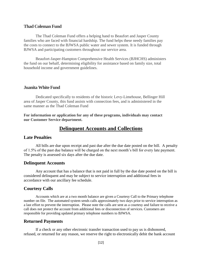#### **Thad Coleman Fund**

The Thad Coleman Fund offers a helping hand to Beaufort and Jasper County families who are faced with financial hardship. The fund helps these needy families pay the costs to connect to the BJWSA public water and sewer system. It is funded through BJWSA and participating customers throughout our service area.

Beaufort-Jasper-Hampton Comprehensive Health Services (BJHCHS) administers the fund on our behalf, determining eligibility for assistance based on family size, total household income and government guidelines.

#### **Juanita White Fund**

Dedicated specifically to residents of the historic Levy-Limehouse, Bellinger Hill area of Jasper County, this fund assists with connection fees, and is administered in the same manner as the Thad Coleman Fund

**For information or application for any of these programs, individuals may contact our Customer Service department.** 

# **Delinquent Accounts and Collections**

#### **Late Penalties**

All bills are due upon receipt and past due after the due date posted on the bill. A penalty of 1.5% of the past due balance will be charged on the next month's bill for every late payment. The penalty is assessed six days after the due date.

#### **Delinquent Accounts**

Any account that has a balance that is not paid in full by the due date posted on the bill is considered delinquent and may be subject to service interruption and additional fees in accordance with our ancillary fee schedule.

#### **Courtesy Calls**

Accounts which are at a two month balance are given a Courtesy Call to the Primary telephone number on file. The automated system sends calls approximately two days prior to service interruption as a last effort to prevent the interruption. Please note the calls are sent as a courtesy and failure to receive a call does not protect the account from additional fees or disconnection of services. Customers are responsible for providing updated primary telephone numbers to BJWSA.

#### **Returned Payments**

If a check or any other electronic transfer transaction used to pay us is dishonored, refused, or returned for any reason, we reserve the right to electronically debit the bank account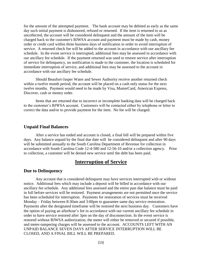for the amount of the attempted payment. The bank account may be debited as early as the same day such initial payment is dishonored, refused or returned. If the item is returned to us as uncollected, the account will be considered delinquent and the amount of the item will be charged back to the customer's BJWSA account and payment must be made by cash, money order or credit card within three business days of notification in order to avoid interruption of service. A returned check fee will be added to the account in accordance with our ancillary fee schedule. In the event service is interrupted, additional fees may be assessed in accordance with our ancillary fee schedule. If the payment returned was used to restore service after interruption of service for delinquency, no notification is made to the customer, the location is scheduled for immediate interruption of service, and additional fees may be assessed to the account in accordance with our ancillary fee schedule.

Should Beaufort-Jasper Water and Sewer Authority receive another returned check within a twelve month period, the account will be placed on a cash only status for the next twelve months. Payment would need to be made by Visa, MasterCard, American Express, Discover, cash or money order.

Items that are returned due to incorrect or incomplete banking data will be charged back to the customer's BJWSA account. Customers will be contacted either by telephone or letter to correct the data and/or to provide payment for the item. No fee will be charged.

#### **Unpaid Final Balances**

After a service has ended and account is closed, a final bill will be prepared within five days. Any balance unpaid by the final due date will be considered delinquent and after 90 days will be submitted annually to the South Carolina Department of Revenue for collection in accordance with South Carolina Code 12-4-580 and 12-56-10 and/or a collection agency. Prior to collection, a customer will be denied new service until the debt has been paid.

# **Interruption of Service**

#### **Due to Delinquency**

Any account that is considered delinquent may have services interrupted with or without notice. Additional fees which may include a deposit will be billed in accordance with our ancillary fee schedule. Any additional fees assessed and the entire past due balance must be paid in full before services will be restored. Payment arrangements are not permitted once the service has been scheduled for interruption. Payments for restoration of services must be received Monday – Friday between 8:30am and 3:00pm to guarantee same day service restoration. Payments after the designated timeframe will be restored the next business day. Customers have the option of paying an afterhour's fee in accordance with our current ancillary fee schedule in order to have service restored after 3pm on the day of disconnection. In the event service is restored without BJWSA authorization, the meter will either be removed or secured if possible, and meter-tampering charges will be assessed to the account. ACCOUNTS LEFT WITH AN UNPAID BALANCE SEVEN DAYS AFTER SERVICE INTERRUPTION WILL BE CLOSED, AND A FINAL BILL WILL BE PREPARED.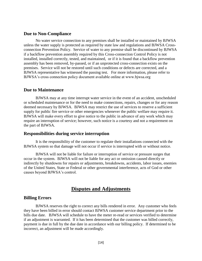#### **Due to Non-Compliance**

No water service connection to any premises shall be installed or maintained by BJWSA unless the water supply is protected as required by state law and regulations and BJWSA Crossconnection Prevention Policy. Service of water to any premise shall be discontinued by BJWSA if a backflow prevention assembly required by this Cross-connection Control Policy is not installed, installed correctly, tested, and maintained, or if it is found that a backflow prevention assembly has been removed, by-passed, or if an unprotected cross-connection exists on the premises. Service will not be restored until such conditions or defects are corrected, and a BJWSA representative has witnessed the passing test. For more information, please refer to BJWSA's cross connection policy document available online at www.bjwsa.org

#### **Due to Maintenance**

BJWSA may at any time interrupt water service in the event of an accident, unscheduled or scheduled maintenance or for the need to make connections, repairs, changes or for any reason deemed necessary by BJWSA. BJWSA may restrict the use of services to reserve a sufficient supply for public fire service or other emergencies whenever the public welfare may require it. BJWSA will make every effort to give notice to the public in advance of any work which may require an interruption of service; however, such notice is a courtesy and not a requirement on the part of BJWSA.

#### **Responsibilities during service interruption**

It is the responsibility of the customer to regulate their installations connected with the BJWSA system so that damage will not occur if service is interrupted with or without notice.

BJWSA will not be liable for failure or interruption of service or pressure surges that occur in the system. BJWSA will not be liable for any act or omission caused directly or indirectly by shutdowns for repairs or adjustments, breakdowns, accidents, labor issues, enemies of the United States, State or Federal or other governmental interference, acts of God or other causes beyond BJWSA's control.

# **Disputes and Adjustments**

#### **Billing Errors**

BJWSA reserves the right to correct any bills rendered in error. Any customer who feels they have been billed in error should contact BJWSA customer service department prior to the bills due date. BJWSA will schedule to have the meter re-read or services verified to determine if an adjustment is warranted. If it has been determined that the customer was billed correctly, payment is due in full by the due date in accordance with our billing policy. If determined to be incorrect, an adjustment will be made accordingly.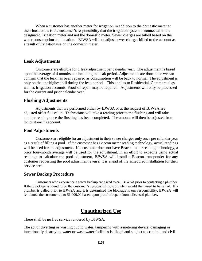When a customer has another meter for irrigation in addition to the domestic meter at their location, it is the customer's responsibility that the irrigation system is connected to the designated irrigation meter and not the domestic meter. Sewer charges are billed based on the water consumption at a location. BJWSA will not adjust sewer charges billed to the account as a result of irrigation use on the domestic meter.

#### **Leak Adjustments**

Customers are eligible for 1 leak adjustment per calendar year. The adjustment is based upon the average of 4 months not including the leak period. Adjustments are done once we can confirm that the leak has been repaired as consumption will be back to normal. The adjustment is only on the one highest bill during the leak period. This applies to Residential, Commercial as well as Irrigation accounts. Proof of repair may be required. Adjustments will only be processed for the current and prior calendar year.

#### **Flushing Adjustments**

Adjustments that are performed either by BJWSA or at the request of BJWSA are adjusted off at full value. Technicians will take a reading prior to the flushing and will take another reading once the flushing has been completed. The amount will then be adjusted from the customer's account.

#### **Pool Adjustments**

Customers are eligible for an adjustment to their sewer charges only once per calendar year as a result of filling a pool. If the customer has Beacon meter reading technology, actual readings will be used for the adjustment. If a customer does not have Beacon meter reading technology, a prior four-month average will be used for the adjustment. In an effort to expedite using actual readings to calculate the pool adjustment, BJWSA will install a Beacon transponder for any customer requesting the pool adjustment even if it is ahead of the scheduled installation for their service area.

#### **Sewer Backup Procedure**

Customers who experience a sewer backup are asked to call BJWSA prior to contacting a plumber. If the blockage is found to be the customer's responsibility, a plumber would then need to be called. If a plumber is called prior to BJWSA and it is determined the blockage is our responsibility, BJWSA will reimburse the customer up to \$1,000.00 based upon proof of repair from a licensed plumber.

# **Unauthorized Use**

There shall be no free service rendered by BJWSA.

The act of diverting or wasting public water, tampering with a metering device, damaging or intentionally destroying water or wastewater facilities is illegal and subject to criminal and civil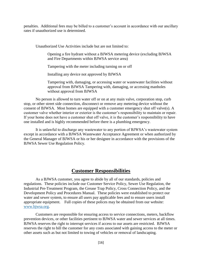penalties. Additional fees may be billed to a customer's account in accordance with our ancillary rates if unauthorized use is determined.

Unauthorized Use Activities include but are not limited to:

Opening a fire hydrant without a BJWSA metering device (excluding BJWSA and Fire Departments within BJWSA service area)

Tampering with the meter including turning on or off

Installing any device not approved by BJWSA

Tampering with, damaging, or accessing water or wastewater facilities without approval from BJWSA Tampering with, damaging, or accessing manholes without approval from BJWSA

No person is allowed to turn water off or on at any main valve, corporation stop, curb stop, or other street side connection, disconnect or remove any metering device without the consent of BJWSA. Most homes are equipped with a customer emergency shut off valve(s). A customer valve whether interior or exterior is the customer's responsibility to maintain or repair. If your home does not have a customer shut off valve, it is the customer's responsibility to have one installed and is highly recommended before there is a plumbing emergency.

It is unlawful to discharge any wastewater to any portion of BJWSA's wastewater system except in accordance with a BJWSA Wastewater Acceptance Agreement or when authorized by the General Manager of BJWSA or his or her designee in accordance with the provisions of the BJWSA Sewer Use Regulation Policy.

## **Customer Responsibilities**

As a BJWSA customer, you agree to abide by all of our standards, policies and regulations. These policies include our Customer Service Policy, Sewer Use Regulation, the Industrial Pre-Treatment Program, the Grease Trap Policy, Cross Connection Policy, and the Development Policy and Procedures Manual. These policies were established to protect our water and sewer system, to ensure all users pay applicable fees and to ensure users install appropriate equipment. Full copies of these polices may be obtained from our website: [www.bjwsa.org.](http://www.bjwsa.org/)

Customers are responsible for ensuring access to service connections, meters, backflow prevention devices, or other facilities pertinent to BJWSA water and sewer services at all times. BJWSA reserves the right to interrupt services if access to our assets are restricted. BJWSA reserves the right to bill the customer for any costs associated with gaining access to the meter or other assets such as but not limited to towing of vehicles or removal of landscaping.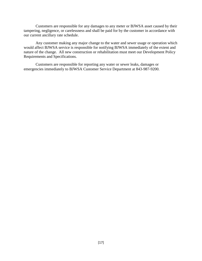Customers are responsible for any damages to any meter or BJWSA asset caused by their tampering, negligence, or carelessness and shall be paid for by the customer in accordance with our current ancillary rate schedule.

Any customer making any major change to the water and sewer usage or operation which would affect BJWSA service is responsible for notifying BJWSA immediately of the extent and nature of the change. All new construction or rehabilitation must meet our Development Policy Requirements and Specifications.

Customers are responsible for reporting any water or sewer leaks, damages or emergencies immediately to BJWSA Customer Service Department at 843-987-9200.